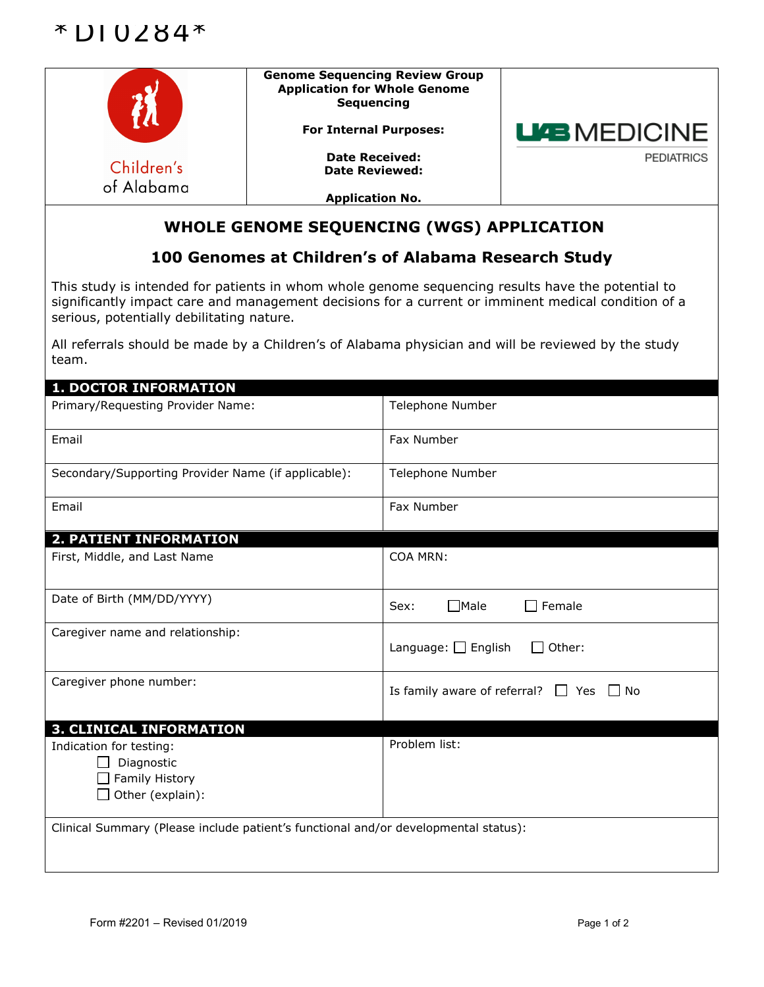